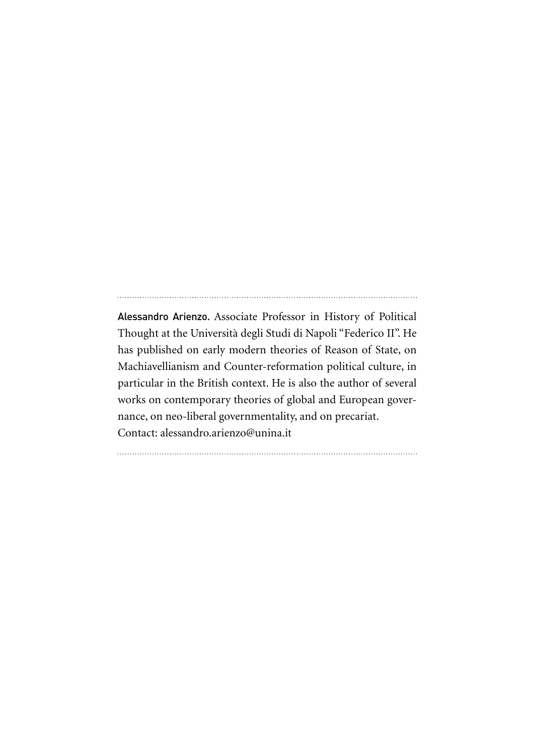Alessandro Arienzo. Associate Professor in History of Political Thought at the Università degli Studi di Napoli "Federico II". He has published on early modern theories of Reason of State, on Machiavellianism and Counter-reformation political culture, in particular in the British context. He is also the author of several works on contemporary theories of global and European governance, on neo-liberal governmentality, and on precariat. Contact: alessandro.arienzo@unina.it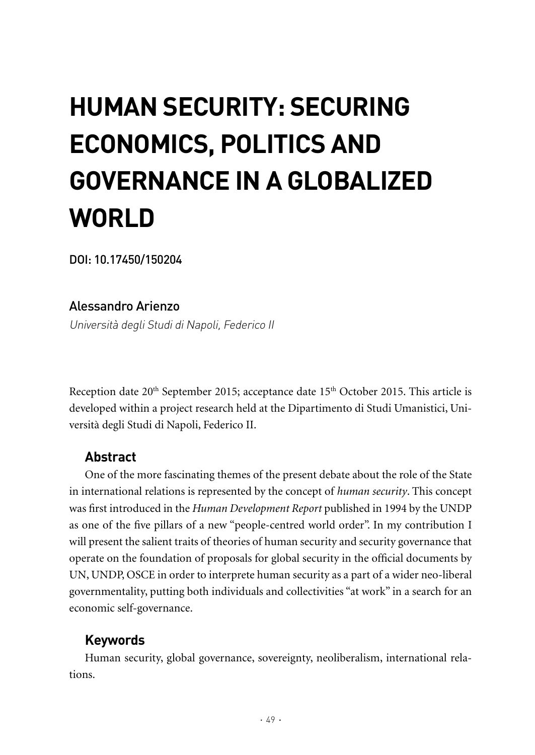# **HUMAN SECURITY: SECURING ECONOMICS, POLITICS AND GOVERNANCE IN A GLOBALIZED WORLD**

DOI: 10.17450/150204

## Alessandro Arienzo

Università degli Studi di Napoli, Federico II

Reception date 20<sup>th</sup> September 2015; acceptance date 15<sup>th</sup> October 2015. This article is developed within a project research held at the Dipartimento di Studi Umanistici, Università degli Studi di Napoli, Federico II.

## **Abstract**

One of the more fascinating themes of the present debate about the role of the State in international relations is represented by the concept of *human security*. This concept was first introduced in the *Human Development Report* published in 1994 by the UNDP as one of the five pillars of a new "people-centred world order". In my contribution I will present the salient traits of theories of human security and security governance that operate on the foundation of proposals for global security in the official documents by UN, UNDP, OSCE in order to interprete human security as a part of a wider neo-liberal governmentality, putting both individuals and collectivities "at work" in a search for an economic self-governance.

## **Keywords**

Human security, global governance, sovereignty, neoliberalism, international relations.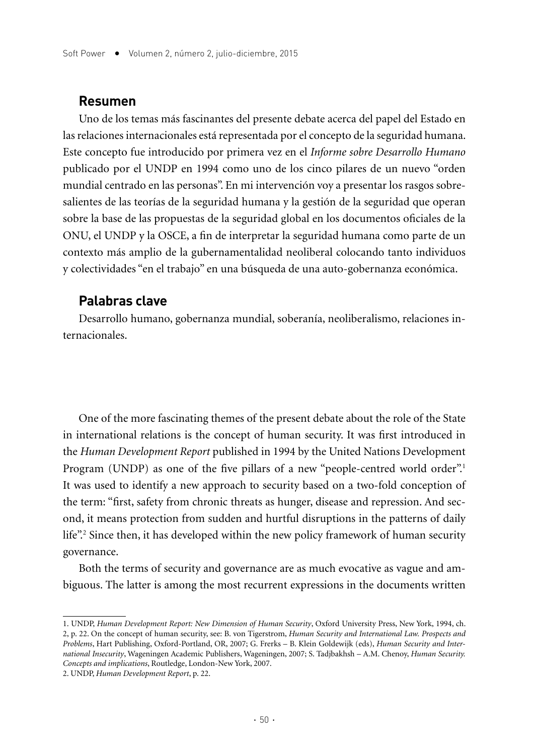#### **Resumen**

Uno de los temas más fascinantes del presente debate acerca del papel del Estado en las relaciones internacionales está representada por el concepto de la seguridad humana. Este concepto fue introducido por primera vez en el *Informe sobre Desarrollo Humano* publicado por el UNDP en 1994 como uno de los cinco pilares de un nuevo "orden mundial centrado en las personas". En mi intervención voy a presentar los rasgos sobresalientes de las teorías de la seguridad humana y la gestión de la seguridad que operan sobre la base de las propuestas de la seguridad global en los documentos oficiales de la ONU, el UNDP y la OSCE, a fin de interpretar la seguridad humana como parte de un contexto más amplio de la gubernamentalidad neoliberal colocando tanto individuos y colectividades "en el trabajo" en una búsqueda de una auto-gobernanza económica.

#### **Palabras clave**

Desarrollo humano, gobernanza mundial, soberanía, neoliberalismo, relaciones internacionales.

One of the more fascinating themes of the present debate about the role of the State in international relations is the concept of human security. It was first introduced in the *Human Development Report* published in 1994 by the United Nations Development Program (UNDP) as one of the five pillars of a new "people-centred world order".<sup>1</sup> It was used to identify a new approach to security based on a two-fold conception of the term: "first, safety from chronic threats as hunger, disease and repression. And second, it means protection from sudden and hurtful disruptions in the patterns of daily life".2 Since then, it has developed within the new policy framework of human security governance.

Both the terms of security and governance are as much evocative as vague and ambiguous. The latter is among the most recurrent expressions in the documents written

<sup>1.</sup> UNDP, *Human Development Report: New Dimension of Human Security*, Oxford University Press, New York, 1994, ch. 2, p. 22. On the concept of human security, see: B. von Tigerstrom, *Human Security and International Law. Prospects and Problems*, Hart Publishing, Oxford-Portland, OR, 2007; G. Frerks – B. Klein Goldewijk (eds), *Human Security and International Insecurity*, Wageningen Academic Publishers, Wageningen, 2007; S. Tadjbakhsh – A.M. Chenoy, *Human Security. Concepts and implications*, Routledge, London-New York, 2007.

<sup>2.</sup> UNDP, *Human Development Report*, p. 22.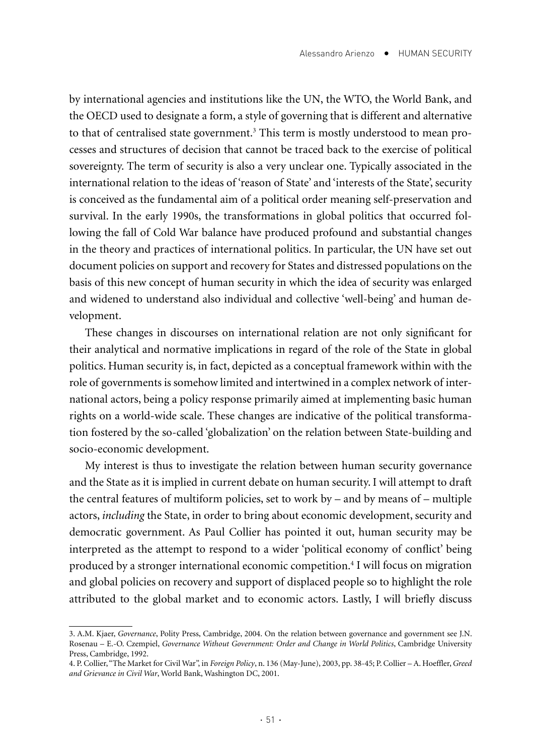by international agencies and institutions like the UN, the WTO, the World Bank, and the OECD used to designate a form, a style of governing that is different and alternative to that of centralised state government.<sup>3</sup> This term is mostly understood to mean processes and structures of decision that cannot be traced back to the exercise of political sovereignty. The term of security is also a very unclear one. Typically associated in the international relation to the ideas of 'reason of State' and 'interests of the State', security is conceived as the fundamental aim of a political order meaning self-preservation and survival. In the early 1990s, the transformations in global politics that occurred following the fall of Cold War balance have produced profound and substantial changes in the theory and practices of international politics. In particular, the UN have set out document policies on support and recovery for States and distressed populations on the basis of this new concept of human security in which the idea of security was enlarged and widened to understand also individual and collective 'well-being' and human development.

These changes in discourses on international relation are not only significant for their analytical and normative implications in regard of the role of the State in global politics. Human security is, in fact, depicted as a conceptual framework within with the role of governments is somehow limited and intertwined in a complex network of international actors, being a policy response primarily aimed at implementing basic human rights on a world-wide scale. These changes are indicative of the political transformation fostered by the so-called 'globalization' on the relation between State-building and socio-economic development.

My interest is thus to investigate the relation between human security governance and the State as it is implied in current debate on human security. I will attempt to draft the central features of multiform policies, set to work by – and by means of – multiple actors, *including* the State, in order to bring about economic development, security and democratic government. As Paul Collier has pointed it out, human security may be interpreted as the attempt to respond to a wider 'political economy of conflict' being produced by a stronger international economic competition.<sup>4</sup> I will focus on migration and global policies on recovery and support of displaced people so to highlight the role attributed to the global market and to economic actors. Lastly, I will briefly discuss

<sup>3.</sup> A.M. Kjaer, *Governance*, Polity Press, Cambridge, 2004. On the relation between governance and government see J.N. Rosenau – E.-O. Czempiel, *Governance Without Government: Order and Change in World Politics*, Cambridge University Press, Cambridge, 1992.

<sup>4.</sup> P. Collier, "The Market for Civil War", in *Foreign Policy*, n. 136 (May-June), 2003, pp. 38-45; P. Collier – A. Hoeffler, *Greed and Grievance in Civil War*, World Bank, Washington DC, 2001.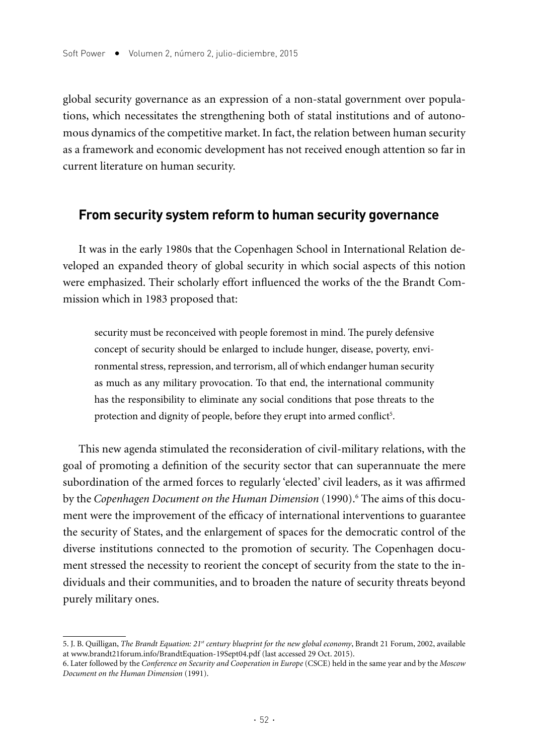global security governance as an expression of a non-statal government over populations, which necessitates the strengthening both of statal institutions and of autonomous dynamics of the competitive market. In fact, the relation between human security as a framework and economic development has not received enough attention so far in current literature on human security.

## **From security system reform to human security governance**

It was in the early 1980s that the Copenhagen School in International Relation developed an expanded theory of global security in which social aspects of this notion were emphasized. Their scholarly effort influenced the works of the the Brandt Commission which in 1983 proposed that:

security must be reconceived with people foremost in mind. The purely defensive concept of security should be enlarged to include hunger, disease, poverty, environmental stress, repression, and terrorism, all of which endanger human security as much as any military provocation. To that end, the international community has the responsibility to eliminate any social conditions that pose threats to the protection and dignity of people, before they erupt into armed conflict<sup>5</sup>.

This new agenda stimulated the reconsideration of civil-military relations, with the goal of promoting a definition of the security sector that can superannuate the mere subordination of the armed forces to regularly 'elected' civil leaders, as it was affirmed by the *Copenhagen Document on the Human Dimension* (1990).<sup>6</sup> The aims of this document were the improvement of the efficacy of international interventions to guarantee the security of States, and the enlargement of spaces for the democratic control of the diverse institutions connected to the promotion of security. The Copenhagen document stressed the necessity to reorient the concept of security from the state to the individuals and their communities, and to broaden the nature of security threats beyond purely military ones.

<sup>5.</sup> J. B. Quilligan, *The Brandt Equation: 21<sup>st</sup> century blueprint for the new global economy*, Brandt 21 Forum, 2002, available at www.brandt21forum.info/BrandtEquation-19Sept04.pdf (last accessed 29 Oct. 2015).

<sup>6.</sup> Later followed by the *Conference on Security and Cooperation in Europe* (CSCE) held in the same year and by the *Moscow Document on the Human Dimension* (1991).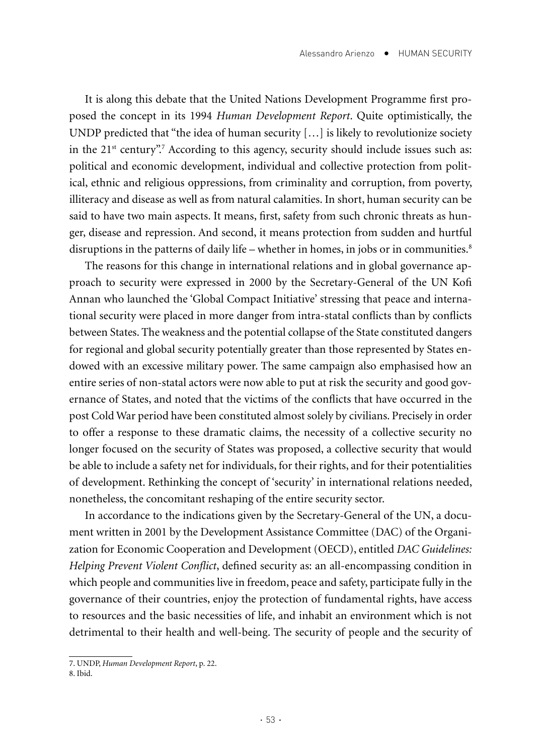It is along this debate that the United Nations Development Programme first proposed the concept in its 1994 *Human Development Report*. Quite optimistically, the UNDP predicted that "the idea of human security  $[...]$  is likely to revolutionize society in the 21<sup>st</sup> century".<sup>7</sup> According to this agency, security should include issues such as: political and economic development, individual and collective protection from political, ethnic and religious oppressions, from criminality and corruption, from poverty, illiteracy and disease as well as from natural calamities. In short, human security can be said to have two main aspects. It means, first, safety from such chronic threats as hunger, disease and repression. And second, it means protection from sudden and hurtful disruptions in the patterns of daily life – whether in homes, in jobs or in communities.<sup>8</sup>

The reasons for this change in international relations and in global governance approach to security were expressed in 2000 by the Secretary-General of the UN Kofi Annan who launched the 'Global Compact Initiative' stressing that peace and international security were placed in more danger from intra-statal conflicts than by conflicts between States. The weakness and the potential collapse of the State constituted dangers for regional and global security potentially greater than those represented by States endowed with an excessive military power. The same campaign also emphasised how an entire series of non-statal actors were now able to put at risk the security and good governance of States, and noted that the victims of the conflicts that have occurred in the post Cold War period have been constituted almost solely by civilians. Precisely in order to offer a response to these dramatic claims, the necessity of a collective security no longer focused on the security of States was proposed, a collective security that would be able to include a safety net for individuals, for their rights, and for their potentialities of development. Rethinking the concept of 'security' in international relations needed, nonetheless, the concomitant reshaping of the entire security sector.

In accordance to the indications given by the Secretary-General of the UN, a document written in 2001 by the Development Assistance Committee (DAC) of the Organization for Economic Cooperation and Development (OECD), entitled *DAC Guidelines: Helping Prevent Violent Conflict*, defined security as: an all-encompassing condition in which people and communities live in freedom, peace and safety, participate fully in the governance of their countries, enjoy the protection of fundamental rights, have access to resources and the basic necessities of life, and inhabit an environment which is not detrimental to their health and well-being. The security of people and the security of

<sup>7.</sup> UNDP, *Human Development Report*, p. 22.

<sup>8.</sup> Ibid.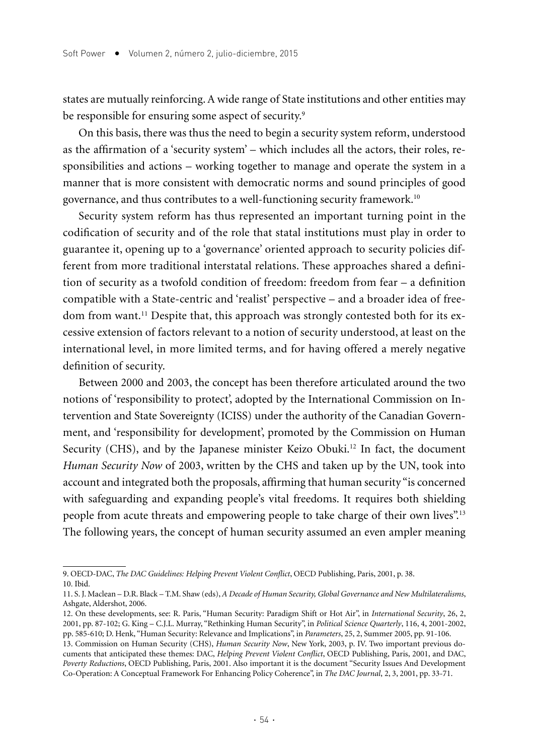states are mutually reinforcing. A wide range of State institutions and other entities may be responsible for ensuring some aspect of security.<sup>9</sup>

On this basis, there was thus the need to begin a security system reform, understood as the affirmation of a 'security system' – which includes all the actors, their roles, responsibilities and actions – working together to manage and operate the system in a manner that is more consistent with democratic norms and sound principles of good governance, and thus contributes to a well-functioning security framework.10

Security system reform has thus represented an important turning point in the codification of security and of the role that statal institutions must play in order to guarantee it, opening up to a 'governance' oriented approach to security policies different from more traditional interstatal relations. These approaches shared a definition of security as a twofold condition of freedom: freedom from fear – a definition compatible with a State-centric and 'realist' perspective – and a broader idea of freedom from want.11 Despite that, this approach was strongly contested both for its excessive extension of factors relevant to a notion of security understood, at least on the international level, in more limited terms, and for having offered a merely negative definition of security.

Between 2000 and 2003, the concept has been therefore articulated around the two notions of 'responsibility to protect', adopted by the International Commission on Intervention and State Sovereignty (ICISS) under the authority of the Canadian Government, and 'responsibility for development', promoted by the Commission on Human Security (CHS), and by the Japanese minister Keizo Obuki.<sup>12</sup> In fact, the document *Human Security Now* of 2003, written by the CHS and taken up by the UN, took into account and integrated both the proposals, affirming that human security "is concerned with safeguarding and expanding people's vital freedoms. It requires both shielding people from acute threats and empowering people to take charge of their own lives".<sup>13</sup> The following years, the concept of human security assumed an even ampler meaning

<sup>9.</sup> OECD-DAC, *The DAC Guidelines: Helping Prevent Violent Conflict*, OECD Publishing, Paris, 2001, p. 38. 10. Ibid.

<sup>11.</sup> S. J. Maclean – D.R. Black – T.M. Shaw (eds), *A Decade of Human Security, Global Governance and New Multilateralisms*, Ashgate, Aldershot, 2006.

<sup>12.</sup> On these developments, see: R. Paris, "Human Security: Paradigm Shift or Hot Air", in *International Security*, 26, 2, 2001, pp. 87-102; G. King – C.J.L. Murray, "Rethinking Human Security", in *Political Science Quarterly*, 116, 4, 2001-2002, pp. 585-610; D. Henk, "Human Security: Relevance and Implications", in *Parameters*, 25, 2, Summer 2005, pp. 91-106. 13. Commission on Human Security (CHS), *Human Security Now*, New York, 2003, p. IV. Two important previous documents that anticipated these themes: DAC, *Helping Prevent Violent Conflict*, OECD Publishing, Paris, 2001, and DAC, *Poverty Reductions*, OECD Publishing, Paris, 2001. Also important it is the document "Security Issues And Development Co-Operation: A Conceptual Framework For Enhancing Policy Coherence", in *The DAC Journal*, 2, 3, 2001, pp. 33-71.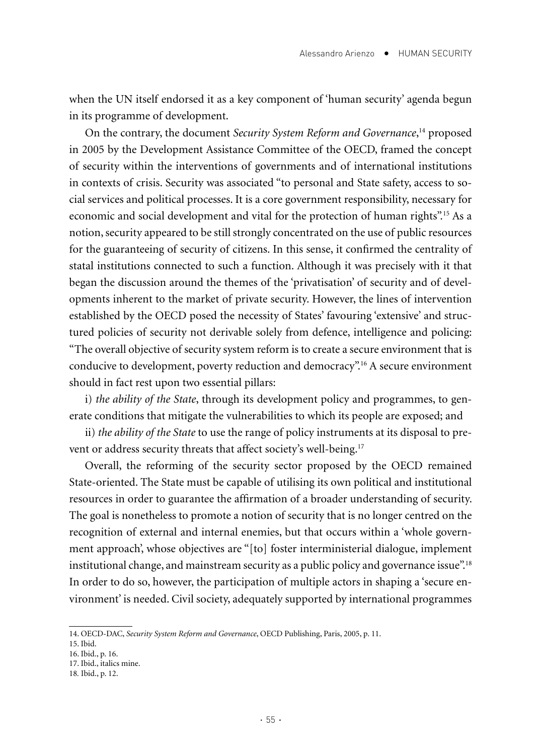when the UN itself endorsed it as a key component of 'human security' agenda begun in its programme of development.

On the contrary, the document *Security System Reform and Governance*, 14 proposed in 2005 by the Development Assistance Committee of the OECD, framed the concept of security within the interventions of governments and of international institutions in contexts of crisis. Security was associated "to personal and State safety, access to social services and political processes. It is a core government responsibility, necessary for economic and social development and vital for the protection of human rights".15 As a notion, security appeared to be still strongly concentrated on the use of public resources for the guaranteeing of security of citizens. In this sense, it confirmed the centrality of statal institutions connected to such a function. Although it was precisely with it that began the discussion around the themes of the 'privatisation' of security and of developments inherent to the market of private security. However, the lines of intervention established by the OECD posed the necessity of States' favouring 'extensive' and structured policies of security not derivable solely from defence, intelligence and policing: "The overall objective of security system reform is to create a secure environment that is conducive to development, poverty reduction and democracy".16 A secure environment should in fact rest upon two essential pillars:

i) *the ability of the State*, through its development policy and programmes, to generate conditions that mitigate the vulnerabilities to which its people are exposed; and

ii) *the ability of the State* to use the range of policy instruments at its disposal to prevent or address security threats that affect society's well-being.<sup>17</sup>

Overall, the reforming of the security sector proposed by the OECD remained State-oriented. The State must be capable of utilising its own political and institutional resources in order to guarantee the affirmation of a broader understanding of security. The goal is nonetheless to promote a notion of security that is no longer centred on the recognition of external and internal enemies, but that occurs within a 'whole government approach', whose objectives are "[to] foster interministerial dialogue, implement institutional change, and mainstream security as a public policy and governance issue".<sup>18</sup> In order to do so, however, the participation of multiple actors in shaping a 'secure environment' is needed. Civil society, adequately supported by international programmes

<sup>14.</sup> OECD-DAC, *Security System Reform and Governance*, OECD Publishing, Paris, 2005, p. 11.

<sup>15.</sup> Ibid.

<sup>16.</sup> Ibid., p. 16.

<sup>17.</sup> Ibid., italics mine.

<sup>18</sup>*.* Ibid., p. 12.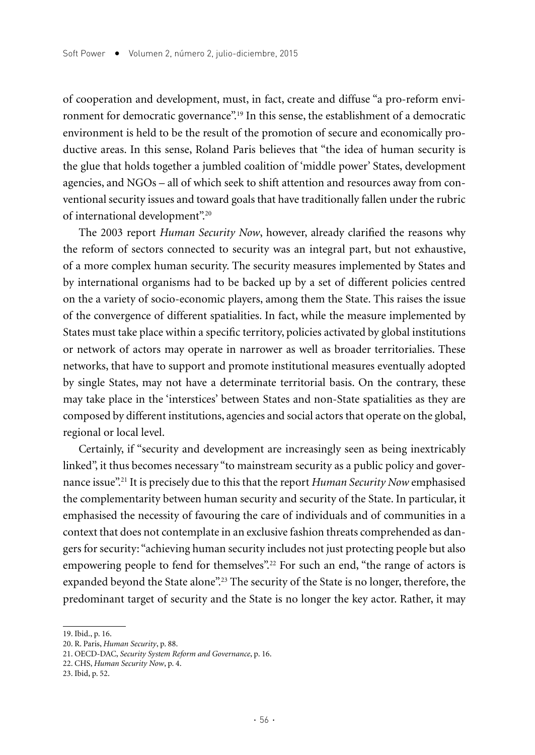of cooperation and development, must, in fact, create and diffuse "a pro-reform environment for democratic governance".19 In this sense, the establishment of a democratic environment is held to be the result of the promotion of secure and economically productive areas. In this sense, Roland Paris believes that "the idea of human security is the glue that holds together a jumbled coalition of 'middle power' States, development agencies, and NGOs – all of which seek to shift attention and resources away from conventional security issues and toward goals that have traditionally fallen under the rubric of international development".20

The 2003 report *Human Security Now*, however, already clarified the reasons why the reform of sectors connected to security was an integral part, but not exhaustive, of a more complex human security. The security measures implemented by States and by international organisms had to be backed up by a set of different policies centred on the a variety of socio-economic players, among them the State. This raises the issue of the convergence of different spatialities. In fact, while the measure implemented by States must take place within a specific territory, policies activated by global institutions or network of actors may operate in narrower as well as broader territorialies. These networks, that have to support and promote institutional measures eventually adopted by single States, may not have a determinate territorial basis. On the contrary, these may take place in the 'interstices' between States and non-State spatialities as they are composed by different institutions, agencies and social actors that operate on the global, regional or local level.

Certainly, if "security and development are increasingly seen as being inextricably linked", it thus becomes necessary "to mainstream security as a public policy and governance issue".21 It is precisely due to this that the report *Human Security Now* emphasised the complementarity between human security and security of the State. In particular, it emphasised the necessity of favouring the care of individuals and of communities in a context that does not contemplate in an exclusive fashion threats comprehended as dangers for security: "achieving human security includes not just protecting people but also empowering people to fend for themselves".<sup>22</sup> For such an end, "the range of actors is expanded beyond the State alone".<sup>23</sup> The security of the State is no longer, therefore, the predominant target of security and the State is no longer the key actor. Rather, it may

<sup>19.</sup> Ibid., p. 16.

<sup>20.</sup> R. Paris, *Human Security*, p. 88.

<sup>21.</sup> OECD-DAC, *Security System Reform and Governance*, p. 16.

<sup>22.</sup> CHS, *Human Security Now*, p. 4.

<sup>23.</sup> Ibid, p. 52.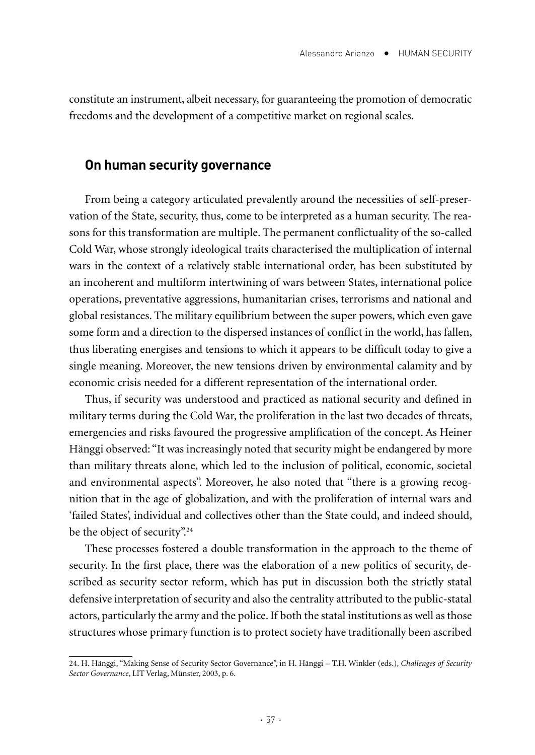constitute an instrument, albeit necessary, for guaranteeing the promotion of democratic freedoms and the development of a competitive market on regional scales.

## **On human security governance**

From being a category articulated prevalently around the necessities of self-preservation of the State, security, thus, come to be interpreted as a human security. The reasons for this transformation are multiple. The permanent conflictuality of the so-called Cold War, whose strongly ideological traits characterised the multiplication of internal wars in the context of a relatively stable international order, has been substituted by an incoherent and multiform intertwining of wars between States, international police operations, preventative aggressions, humanitarian crises, terrorisms and national and global resistances. The military equilibrium between the super powers, which even gave some form and a direction to the dispersed instances of conflict in the world, has fallen, thus liberating energises and tensions to which it appears to be difficult today to give a single meaning. Moreover, the new tensions driven by environmental calamity and by economic crisis needed for a different representation of the international order.

Thus, if security was understood and practiced as national security and defined in military terms during the Cold War, the proliferation in the last two decades of threats, emergencies and risks favoured the progressive amplification of the concept. As Heiner Hänggi observed: "It was increasingly noted that security might be endangered by more than military threats alone, which led to the inclusion of political, economic, societal and environmental aspects". Moreover, he also noted that "there is a growing recognition that in the age of globalization, and with the proliferation of internal wars and 'failed States', individual and collectives other than the State could, and indeed should, be the object of security".<sup>24</sup>

These processes fostered a double transformation in the approach to the theme of security. In the first place, there was the elaboration of a new politics of security, described as security sector reform, which has put in discussion both the strictly statal defensive interpretation of security and also the centrality attributed to the public-statal actors, particularly the army and the police. If both the statal institutions as well as those structures whose primary function is to protect society have traditionally been ascribed

<sup>24.</sup> H. Hänggi, "Making Sense of Security Sector Governance", in H. Hänggi – T.H. Winkler (eds.), *Challenges of Security Sector Governance*, LIT Verlag, Münster, 2003, p. 6.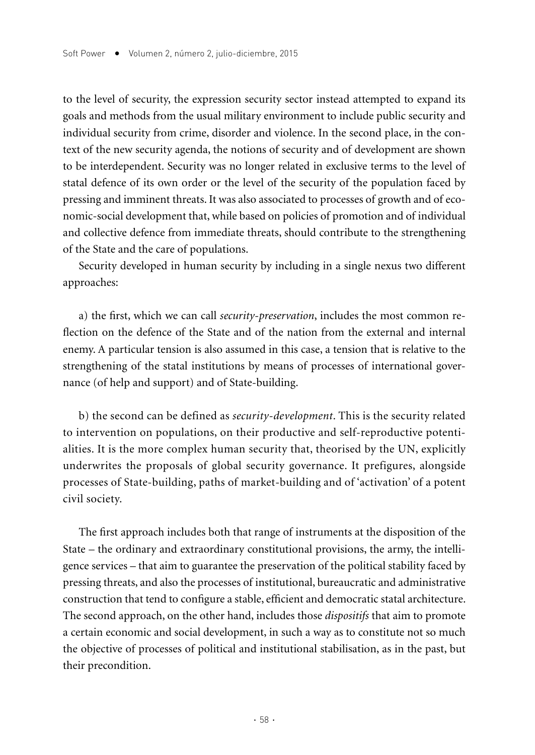to the level of security, the expression security sector instead attempted to expand its goals and methods from the usual military environment to include public security and individual security from crime, disorder and violence. In the second place, in the context of the new security agenda, the notions of security and of development are shown to be interdependent. Security was no longer related in exclusive terms to the level of statal defence of its own order or the level of the security of the population faced by pressing and imminent threats. It was also associated to processes of growth and of economic-social development that, while based on policies of promotion and of individual and collective defence from immediate threats, should contribute to the strengthening of the State and the care of populations.

Security developed in human security by including in a single nexus two different approaches:

a) the first, which we can call *security-preservation*, includes the most common reflection on the defence of the State and of the nation from the external and internal enemy. A particular tension is also assumed in this case, a tension that is relative to the strengthening of the statal institutions by means of processes of international governance (of help and support) and of State-building.

b) the second can be defined as *security-development*. This is the security related to intervention on populations, on their productive and self-reproductive potentialities. It is the more complex human security that, theorised by the UN, explicitly underwrites the proposals of global security governance. It prefigures, alongside processes of State-building, paths of market-building and of 'activation' of a potent civil society.

The first approach includes both that range of instruments at the disposition of the State – the ordinary and extraordinary constitutional provisions, the army, the intelligence services – that aim to guarantee the preservation of the political stability faced by pressing threats, and also the processes of institutional, bureaucratic and administrative construction that tend to configure a stable, efficient and democratic statal architecture. The second approach, on the other hand, includes those *dispositifs* that aim to promote a certain economic and social development, in such a way as to constitute not so much the objective of processes of political and institutional stabilisation, as in the past, but their precondition.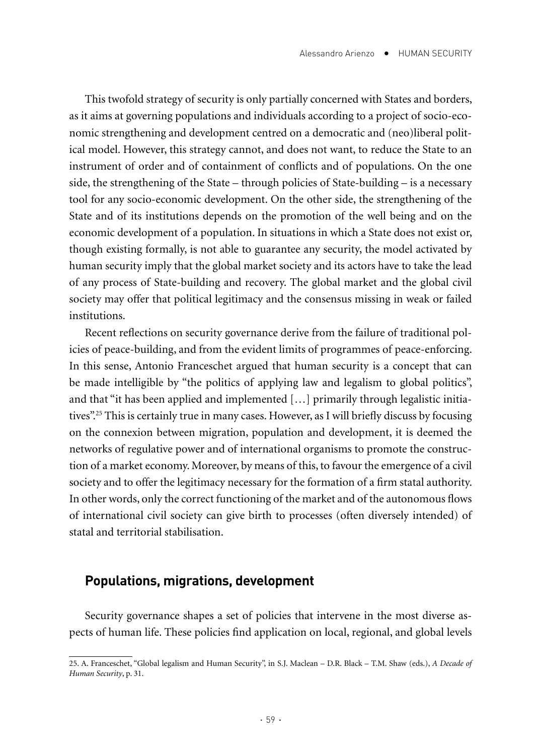This twofold strategy of security is only partially concerned with States and borders, as it aims at governing populations and individuals according to a project of socio-economic strengthening and development centred on a democratic and (neo)liberal political model. However, this strategy cannot, and does not want, to reduce the State to an instrument of order and of containment of conflicts and of populations. On the one side, the strengthening of the State – through policies of State-building – is a necessary tool for any socio-economic development. On the other side, the strengthening of the State and of its institutions depends on the promotion of the well being and on the economic development of a population. In situations in which a State does not exist or, though existing formally, is not able to guarantee any security, the model activated by human security imply that the global market society and its actors have to take the lead of any process of State-building and recovery. The global market and the global civil society may offer that political legitimacy and the consensus missing in weak or failed institutions.

Recent reflections on security governance derive from the failure of traditional policies of peace-building, and from the evident limits of programmes of peace-enforcing. In this sense, Antonio Franceschet argued that human security is a concept that can be made intelligible by "the politics of applying law and legalism to global politics", and that "it has been applied and implemented […] primarily through legalistic initiatives".25 This is certainly true in many cases. However, as I will briefly discuss by focusing on the connexion between migration, population and development, it is deemed the networks of regulative power and of international organisms to promote the construction of a market economy. Moreover, by means of this, to favour the emergence of a civil society and to offer the legitimacy necessary for the formation of a firm statal authority. In other words, only the correct functioning of the market and of the autonomous flows of international civil society can give birth to processes (often diversely intended) of statal and territorial stabilisation.

#### **Populations, migrations, development**

Security governance shapes a set of policies that intervene in the most diverse aspects of human life. These policies find application on local, regional, and global levels

<sup>25.</sup> A. Franceschet, "Global legalism and Human Security", in S.J. Maclean – D.R. Black – T.M. Shaw (eds.), *A Decade of Human Security*, p. 31.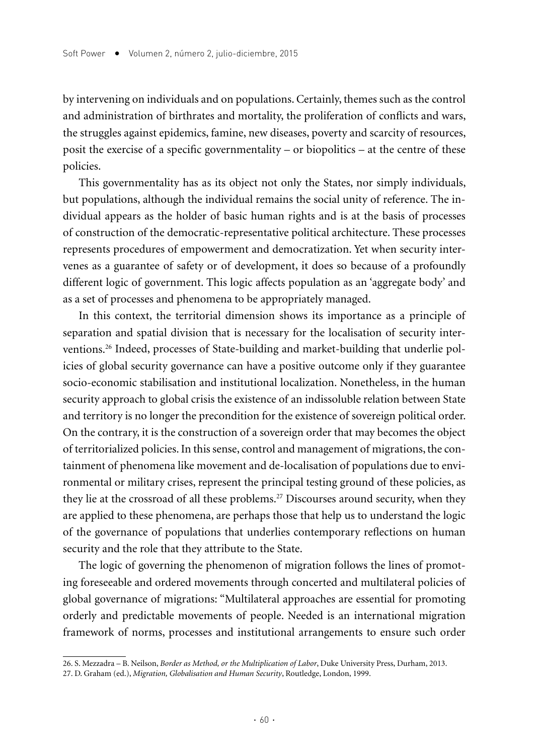by intervening on individuals and on populations. Certainly, themes such as the control and administration of birthrates and mortality, the proliferation of conflicts and wars, the struggles against epidemics, famine, new diseases, poverty and scarcity of resources, posit the exercise of a specific governmentality – or biopolitics – at the centre of these policies.

This governmentality has as its object not only the States, nor simply individuals, but populations, although the individual remains the social unity of reference. The individual appears as the holder of basic human rights and is at the basis of processes of construction of the democratic-representative political architecture. These processes represents procedures of empowerment and democratization. Yet when security intervenes as a guarantee of safety or of development, it does so because of a profoundly different logic of government. This logic affects population as an 'aggregate body' and as a set of processes and phenomena to be appropriately managed.

In this context, the territorial dimension shows its importance as a principle of separation and spatial division that is necessary for the localisation of security interventions.26 Indeed, processes of State-building and market-building that underlie policies of global security governance can have a positive outcome only if they guarantee socio-economic stabilisation and institutional localization. Nonetheless, in the human security approach to global crisis the existence of an indissoluble relation between State and territory is no longer the precondition for the existence of sovereign political order. On the contrary, it is the construction of a sovereign order that may becomes the object of territorialized policies. In this sense, control and management of migrations, the containment of phenomena like movement and de-localisation of populations due to environmental or military crises, represent the principal testing ground of these policies, as they lie at the crossroad of all these problems.<sup>27</sup> Discourses around security, when they are applied to these phenomena, are perhaps those that help us to understand the logic of the governance of populations that underlies contemporary reflections on human security and the role that they attribute to the State.

The logic of governing the phenomenon of migration follows the lines of promoting foreseeable and ordered movements through concerted and multilateral policies of global governance of migrations: "Multilateral approaches are essential for promoting orderly and predictable movements of people. Needed is an international migration framework of norms, processes and institutional arrangements to ensure such order

<sup>26.</sup> S. Mezzadra – B. Neilson, *Border as Method, or the Multiplication of Labor*, Duke University Press, Durham, 2013.

<sup>27.</sup> D. Graham (ed.), *Migration, Globalisation and Human Security*, Routledge, London, 1999.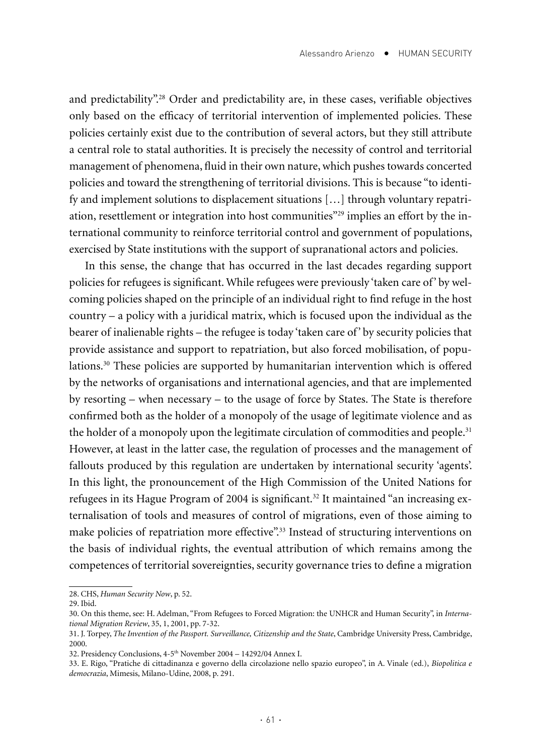and predictability".28 Order and predictability are, in these cases, verifiable objectives only based on the efficacy of territorial intervention of implemented policies. These policies certainly exist due to the contribution of several actors, but they still attribute a central role to statal authorities. It is precisely the necessity of control and territorial management of phenomena, fluid in their own nature, which pushes towards concerted policies and toward the strengthening of territorial divisions. This is because "to identify and implement solutions to displacement situations […] through voluntary repatriation, resettlement or integration into host communities"29 implies an effort by the international community to reinforce territorial control and government of populations, exercised by State institutions with the support of supranational actors and policies.

In this sense, the change that has occurred in the last decades regarding support policies for refugees is significant. While refugees were previously 'taken care of' by welcoming policies shaped on the principle of an individual right to find refuge in the host country – a policy with a juridical matrix, which is focused upon the individual as the bearer of inalienable rights – the refugee is today 'taken care of' by security policies that provide assistance and support to repatriation, but also forced mobilisation, of populations.30 These policies are supported by humanitarian intervention which is offered by the networks of organisations and international agencies, and that are implemented by resorting – when necessary – to the usage of force by States. The State is therefore confirmed both as the holder of a monopoly of the usage of legitimate violence and as the holder of a monopoly upon the legitimate circulation of commodities and people.<sup>31</sup> However, at least in the latter case, the regulation of processes and the management of fallouts produced by this regulation are undertaken by international security 'agents'. In this light, the pronouncement of the High Commission of the United Nations for refugees in its Hague Program of 2004 is significant.<sup>32</sup> It maintained "an increasing externalisation of tools and measures of control of migrations, even of those aiming to make policies of repatriation more effective".<sup>33</sup> Instead of structuring interventions on the basis of individual rights, the eventual attribution of which remains among the competences of territorial sovereignties, security governance tries to define a migration

<sup>28.</sup> CHS, *Human Security Now*, p. 52.

<sup>29.</sup> Ibid.

<sup>30.</sup> On this theme, see: H. Adelman, "From Refugees to Forced Migration: the UNHCR and Human Security", in *International Migration Review*, 35, 1, 2001, pp. 7-32.

<sup>31.</sup> J. Torpey, *The Invention of the Passport. Surveillance, Citizenship and the State*, Cambridge University Press, Cambridge, 2000.

<sup>32.</sup> Presidency Conclusions, 4-5th November 2004 – 14292/04 Annex I.

<sup>33.</sup> E. Rigo, "Pratiche di cittadinanza e governo della circolazione nello spazio europeo", in A. Vinale (ed.), *Biopolitica e democrazia*, Mimesis, Milano-Udine, 2008, p. 291.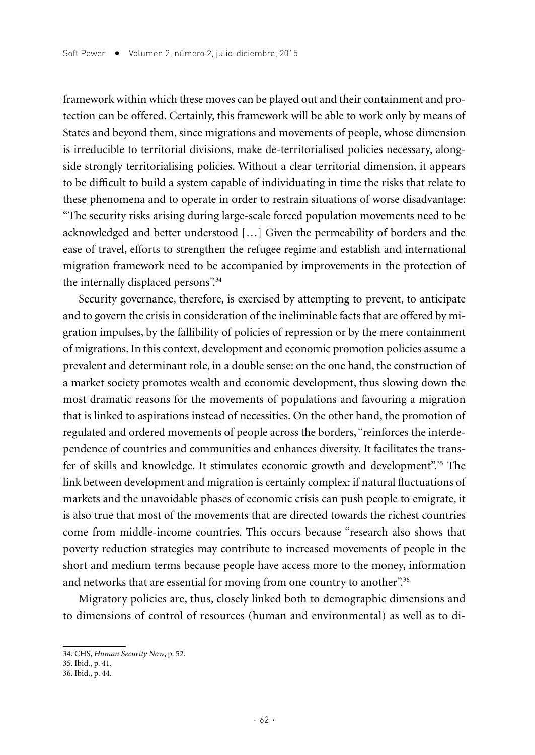framework within which these moves can be played out and their containment and protection can be offered. Certainly, this framework will be able to work only by means of States and beyond them, since migrations and movements of people, whose dimension is irreducible to territorial divisions, make de-territorialised policies necessary, alongside strongly territorialising policies. Without a clear territorial dimension, it appears to be difficult to build a system capable of individuating in time the risks that relate to these phenomena and to operate in order to restrain situations of worse disadvantage: "The security risks arising during large-scale forced population movements need to be acknowledged and better understood […] Given the permeability of borders and the ease of travel, efforts to strengthen the refugee regime and establish and international migration framework need to be accompanied by improvements in the protection of the internally displaced persons".<sup>34</sup>

Security governance, therefore, is exercised by attempting to prevent, to anticipate and to govern the crisis in consideration of the ineliminable facts that are offered by migration impulses, by the fallibility of policies of repression or by the mere containment of migrations. In this context, development and economic promotion policies assume a prevalent and determinant role, in a double sense: on the one hand, the construction of a market society promotes wealth and economic development, thus slowing down the most dramatic reasons for the movements of populations and favouring a migration that is linked to aspirations instead of necessities. On the other hand, the promotion of regulated and ordered movements of people across the borders, "reinforces the interdependence of countries and communities and enhances diversity. It facilitates the transfer of skills and knowledge. It stimulates economic growth and development".<sup>35</sup> The link between development and migration is certainly complex: if natural fluctuations of markets and the unavoidable phases of economic crisis can push people to emigrate, it is also true that most of the movements that are directed towards the richest countries come from middle-income countries. This occurs because "research also shows that poverty reduction strategies may contribute to increased movements of people in the short and medium terms because people have access more to the money, information and networks that are essential for moving from one country to another".<sup>36</sup>

Migratory policies are, thus, closely linked both to demographic dimensions and to dimensions of control of resources (human and environmental) as well as to di-

<sup>34.</sup> CHS, *Human Security Now*, p. 52.

<sup>35.</sup> Ibid., p. 41.

<sup>36.</sup> Ibid., p. 44.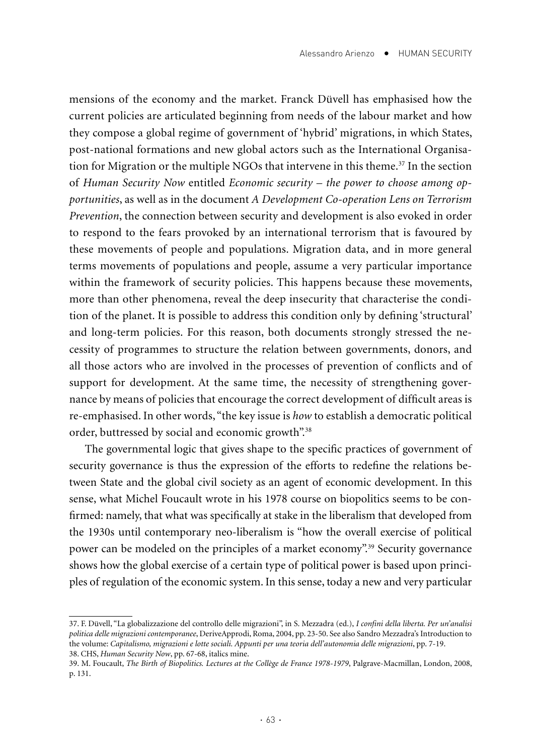mensions of the economy and the market. Franck Düvell has emphasised how the current policies are articulated beginning from needs of the labour market and how they compose a global regime of government of 'hybrid' migrations, in which States, post-national formations and new global actors such as the International Organisation for Migration or the multiple NGOs that intervene in this theme.<sup>37</sup> In the section of *Human Security Now* entitled *Economic security – the power to choose among opportunities*, as well as in the document *A Development Co-operation Lens on Terrorism Prevention*, the connection between security and development is also evoked in order to respond to the fears provoked by an international terrorism that is favoured by these movements of people and populations. Migration data, and in more general terms movements of populations and people, assume a very particular importance within the framework of security policies. This happens because these movements, more than other phenomena, reveal the deep insecurity that characterise the condition of the planet. It is possible to address this condition only by defining 'structural' and long-term policies. For this reason, both documents strongly stressed the necessity of programmes to structure the relation between governments, donors, and all those actors who are involved in the processes of prevention of conflicts and of support for development. At the same time, the necessity of strengthening governance by means of policies that encourage the correct development of difficult areas is re-emphasised. In other words, "the key issue is *how* to establish a democratic political order, buttressed by social and economic growth".38

The governmental logic that gives shape to the specific practices of government of security governance is thus the expression of the efforts to redefine the relations between State and the global civil society as an agent of economic development. In this sense, what Michel Foucault wrote in his 1978 course on biopolitics seems to be confirmed: namely, that what was specifically at stake in the liberalism that developed from the 1930s until contemporary neo-liberalism is "how the overall exercise of political power can be modeled on the principles of a market economy".<sup>39</sup> Security governance shows how the global exercise of a certain type of political power is based upon principles of regulation of the economic system. In this sense, today a new and very particular

<sup>37.</sup> F. Düvell, "La globalizzazione del controllo delle migrazioni", in S. Mezzadra (ed.), *I confini della liberta. Per un'analisi politica delle migrazioni contemporanee*, DeriveApprodi, Roma, 2004, pp. 23-50. See also Sandro Mezzadra's Introduction to the volume: *Capitalismo, migrazioni e lotte sociali. Appunti per una teoria dell'autonomia delle migrazioni*, pp. 7-19. 38. CHS, *Human Security Now*, pp. 67-68, italics mine.

<sup>39.</sup> M. Foucault, *The Birth of Biopolitics. Lectures at the Collège de France 1978-1979*, Palgrave-Macmillan, London, 2008, p. 131.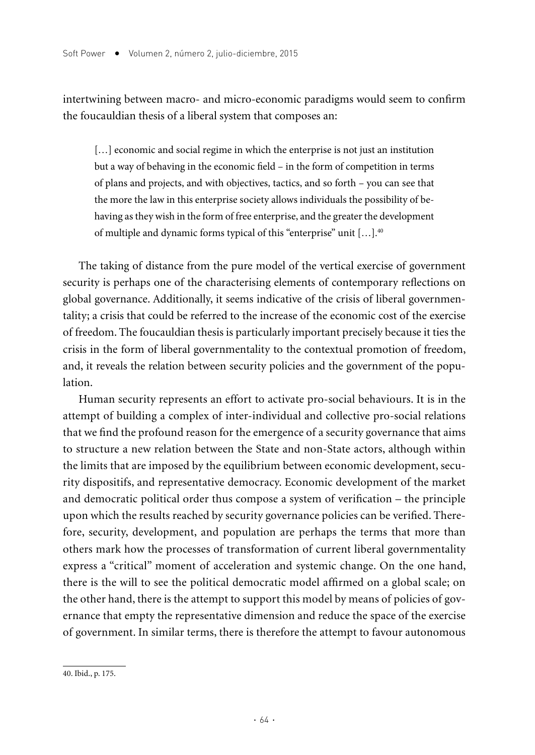intertwining between macro- and micro-economic paradigms would seem to confirm the foucauldian thesis of a liberal system that composes an:

[...] economic and social regime in which the enterprise is not just an institution but a way of behaving in the economic field – in the form of competition in terms of plans and projects, and with objectives, tactics, and so forth – you can see that the more the law in this enterprise society allows individuals the possibility of behaving as they wish in the form of free enterprise, and the greater the development of multiple and dynamic forms typical of this "enterprise" unit […].40

The taking of distance from the pure model of the vertical exercise of government security is perhaps one of the characterising elements of contemporary reflections on global governance. Additionally, it seems indicative of the crisis of liberal governmentality; a crisis that could be referred to the increase of the economic cost of the exercise of freedom. The foucauldian thesis is particularly important precisely because it ties the crisis in the form of liberal governmentality to the contextual promotion of freedom, and, it reveals the relation between security policies and the government of the population.

Human security represents an effort to activate pro-social behaviours. It is in the attempt of building a complex of inter-individual and collective pro-social relations that we find the profound reason for the emergence of a security governance that aims to structure a new relation between the State and non-State actors, although within the limits that are imposed by the equilibrium between economic development, security dispositifs, and representative democracy. Economic development of the market and democratic political order thus compose a system of verification – the principle upon which the results reached by security governance policies can be verified. Therefore, security, development, and population are perhaps the terms that more than others mark how the processes of transformation of current liberal governmentality express a "critical" moment of acceleration and systemic change. On the one hand, there is the will to see the political democratic model affirmed on a global scale; on the other hand, there is the attempt to support this model by means of policies of governance that empty the representative dimension and reduce the space of the exercise of government. In similar terms, there is therefore the attempt to favour autonomous

<sup>40.</sup> Ibid., p. 175.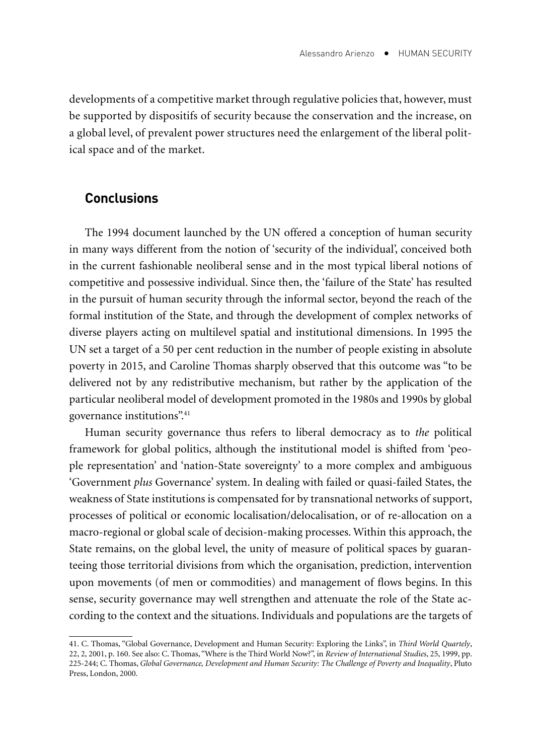developments of a competitive market through regulative policies that, however, must be supported by dispositifs of security because the conservation and the increase, on a global level, of prevalent power structures need the enlargement of the liberal political space and of the market.

## **Conclusions**

The 1994 document launched by the UN offered a conception of human security in many ways different from the notion of 'security of the individual', conceived both in the current fashionable neoliberal sense and in the most typical liberal notions of competitive and possessive individual. Since then, the 'failure of the State' has resulted in the pursuit of human security through the informal sector, beyond the reach of the formal institution of the State, and through the development of complex networks of diverse players acting on multilevel spatial and institutional dimensions. In 1995 the UN set a target of a 50 per cent reduction in the number of people existing in absolute poverty in 2015, and Caroline Thomas sharply observed that this outcome was "to be delivered not by any redistributive mechanism, but rather by the application of the particular neoliberal model of development promoted in the 1980s and 1990s by global governance institutions".41

Human security governance thus refers to liberal democracy as to *the* political framework for global politics, although the institutional model is shifted from 'people representation' and 'nation-State sovereignty' to a more complex and ambiguous 'Government *plus* Governance' system. In dealing with failed or quasi-failed States, the weakness of State institutions is compensated for by transnational networks of support, processes of political or economic localisation/delocalisation, or of re-allocation on a macro-regional or global scale of decision-making processes. Within this approach, the State remains, on the global level, the unity of measure of political spaces by guaranteeing those territorial divisions from which the organisation, prediction, intervention upon movements (of men or commodities) and management of flows begins. In this sense, security governance may well strengthen and attenuate the role of the State according to the context and the situations. Individuals and populations are the targets of

<sup>41.</sup> C. Thomas, "Global Governance, Development and Human Security: Exploring the Links", in *Third World Quartely*, 22, 2, 2001, p. 160. See also: C. Thomas, "Where is the Third World Now?", in *Review of International Studies*, 25, 1999, pp. 225-244; C. Thomas, *Global Governance, Development and Human Security: The Challenge of Poverty and Inequality*, Pluto Press, London, 2000.